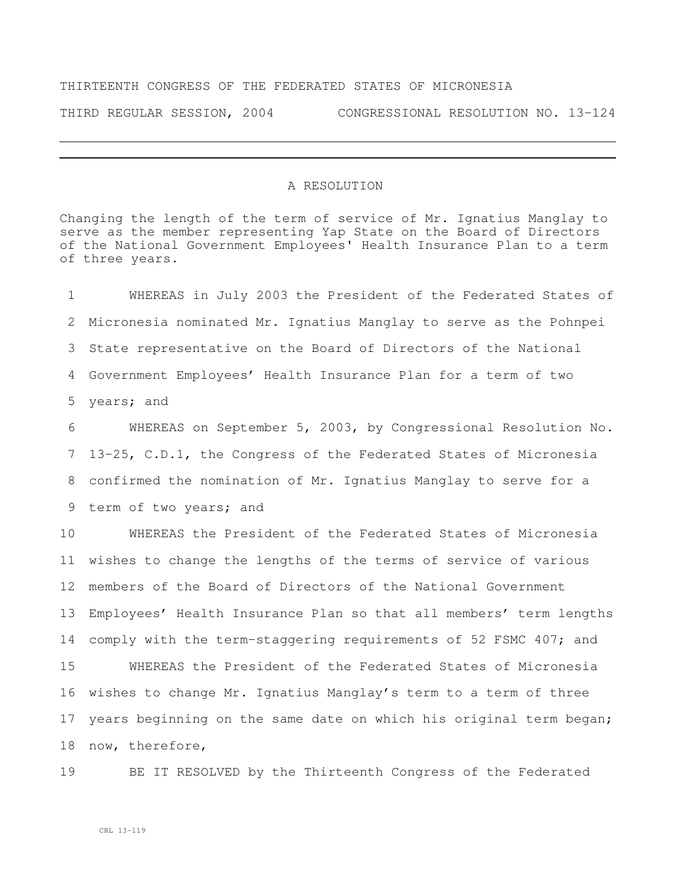## THIRTEENTH CONGRESS OF THE FEDERATED STATES OF MICRONESIA

THIRD REGULAR SESSION, 2004 CONGRESSIONAL RESOLUTION NO. 13-124

## A RESOLUTION

Changing the length of the term of service of Mr. Ignatius Manglay to serve as the member representing Yap State on the Board of Directors of the National Government Employees' Health Insurance Plan to a term of three years.

 WHEREAS in July 2003 the President of the Federated States of Micronesia nominated Mr. Ignatius Manglay to serve as the Pohnpei State representative on the Board of Directors of the National Government Employees' Health Insurance Plan for a term of two years; and

 WHEREAS on September 5, 2003, by Congressional Resolution No. 13-25, C.D.1, the Congress of the Federated States of Micronesia confirmed the nomination of Mr. Ignatius Manglay to serve for a term of two years; and

 WHEREAS the President of the Federated States of Micronesia wishes to change the lengths of the terms of service of various members of the Board of Directors of the National Government Employees' Health Insurance Plan so that all members' term lengths comply with the term-staggering requirements of 52 FSMC 407; and WHEREAS the President of the Federated States of Micronesia wishes to change Mr. Ignatius Manglay's term to a term of three years beginning on the same date on which his original term began; now, therefore,

BE IT RESOLVED by the Thirteenth Congress of the Federated